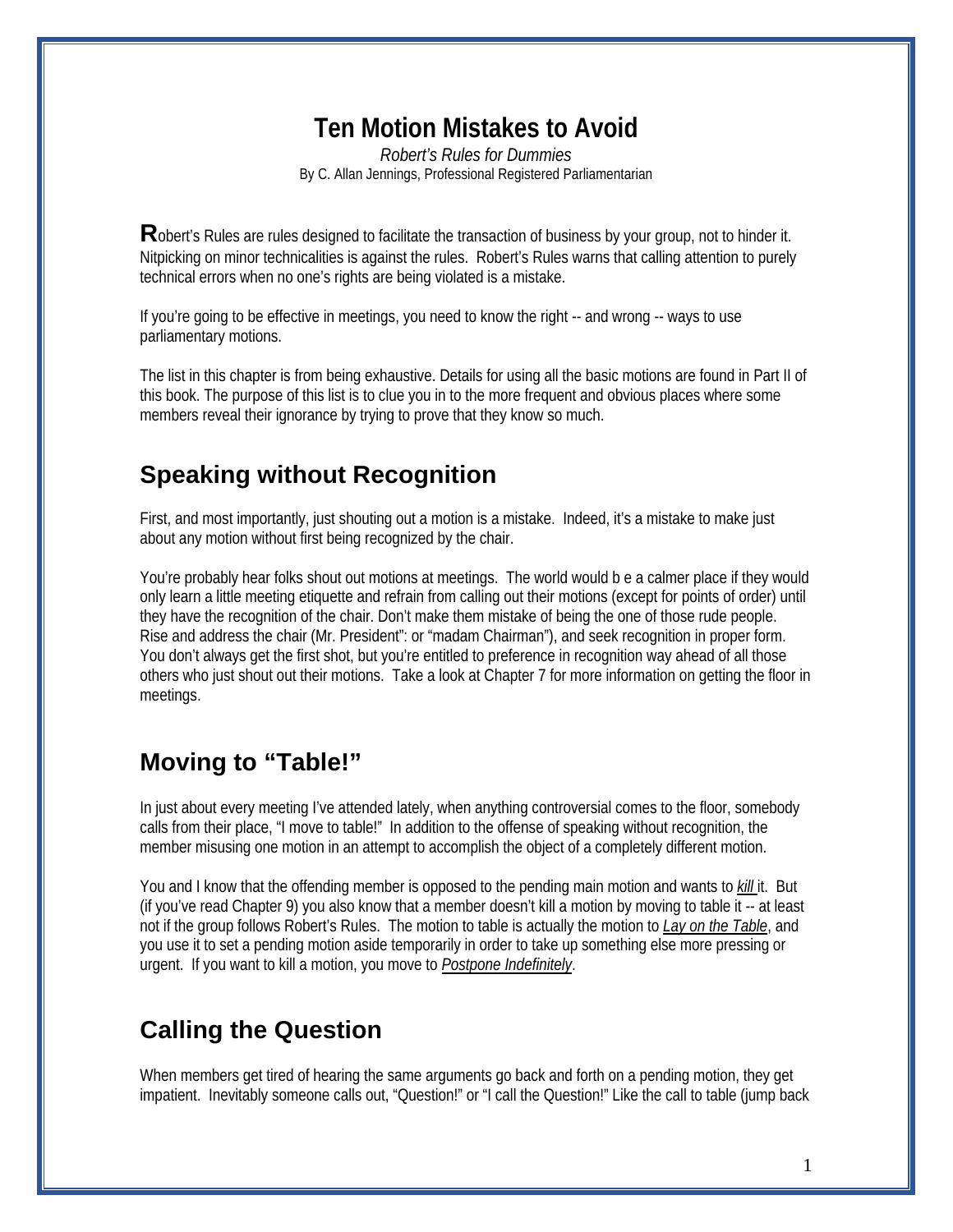# **Ten Motion Mistakes to Avoid**

*Robert's Rules for Dummies* By C. Allan Jennings, Professional Registered Parliamentarian

**R**obert's Rules are rules designed to facilitate the transaction of business by your group, not to hinder it. Nitpicking on minor technicalities is against the rules. Robert's Rules warns that calling attention to purely technical errors when no one's rights are being violated is a mistake.

If you're going to be effective in meetings, you need to know the right -- and wrong -- ways to use parliamentary motions.

The list in this chapter is from being exhaustive. Details for using all the basic motions are found in Part II of this book. The purpose of this list is to clue you in to the more frequent and obvious places where some members reveal their ignorance by trying to prove that they know so much.

## **Speaking without Recognition**

First, and most importantly, just shouting out a motion is a mistake. Indeed, it's a mistake to make just about any motion without first being recognized by the chair.

You're probably hear folks shout out motions at meetings. The world would b e a calmer place if they would only learn a little meeting etiquette and refrain from calling out their motions (except for points of order) until they have the recognition of the chair. Don't make them mistake of being the one of those rude people. Rise and address the chair (Mr. President": or "madam Chairman"), and seek recognition in proper form. You don't always get the first shot, but you're entitled to preference in recognition way ahead of all those others who just shout out their motions. Take a look at Chapter 7 for more information on getting the floor in meetings.

## **Moving to "Table!"**

In just about every meeting I've attended lately, when anything controversial comes to the floor, somebody calls from their place, "I move to table!" In addition to the offense of speaking without recognition, the member misusing one motion in an attempt to accomplish the object of a completely different motion.

You and I know that the offending member is opposed to the pending main motion and wants to *kill* it. But (if you've read Chapter 9) you also know that a member doesn't kill a motion by moving to table it -- at least not if the group follows Robert's Rules. The motion to table is actually the motion to *Lay on the Table*, and you use it to set a pending motion aside temporarily in order to take up something else more pressing or urgent. If you want to kill a motion, you move to *Postpone Indefinitely*.

## **Calling the Question**

When members get tired of hearing the same arguments go back and forth on a pending motion, they get impatient. Inevitably someone calls out, "Question!" or "I call the Question!" Like the call to table (jump back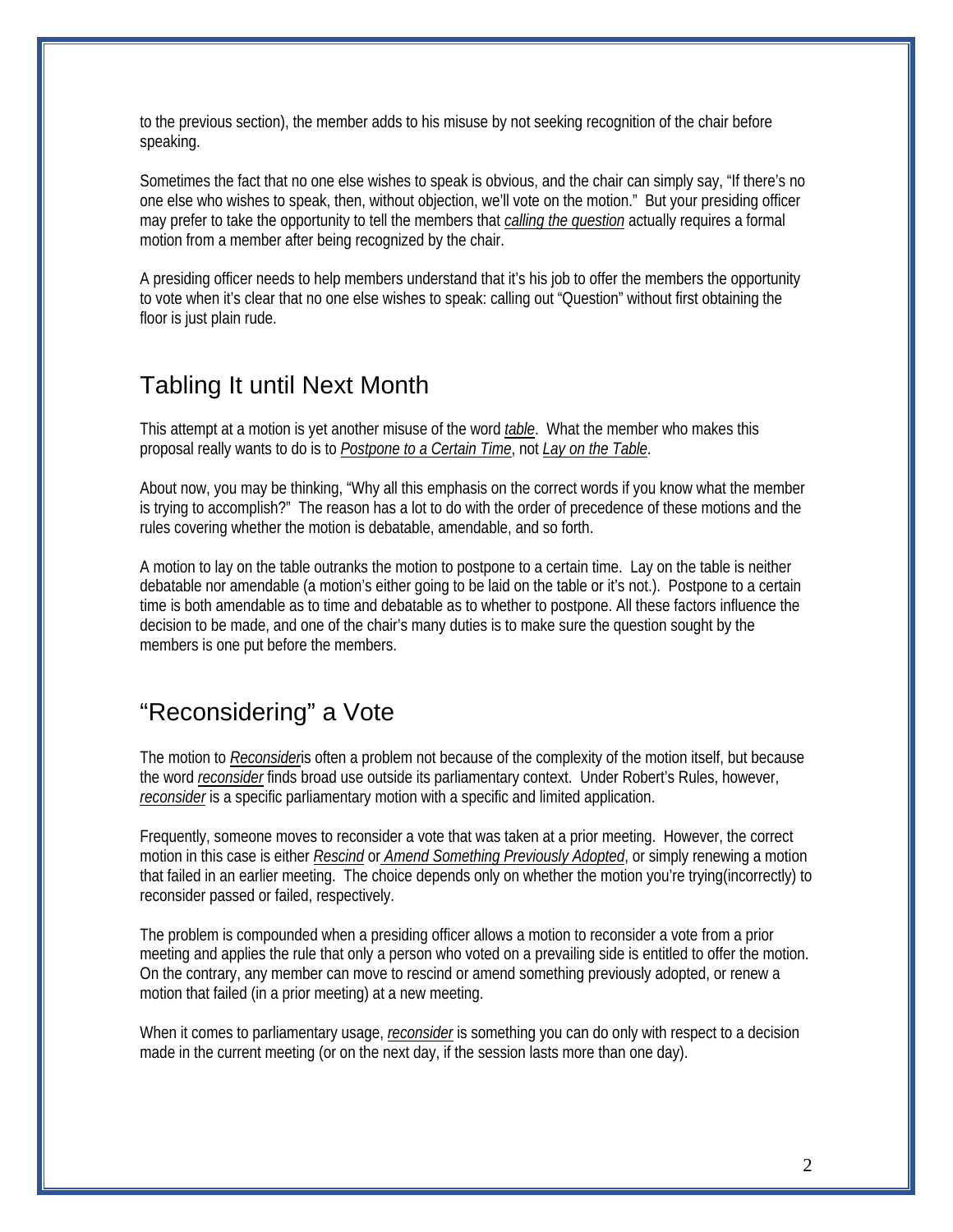to the previous section), the member adds to his misuse by not seeking recognition of the chair before speaking.

Sometimes the fact that no one else wishes to speak is obvious, and the chair can simply say, "If there's no one else who wishes to speak, then, without objection, we'll vote on the motion." But your presiding officer may prefer to take the opportunity to tell the members that *calling the question* actually requires a formal motion from a member after being recognized by the chair.

A presiding officer needs to help members understand that it's his job to offer the members the opportunity to vote when it's clear that no one else wishes to speak: calling out "Question" without first obtaining the floor is just plain rude.

### Tabling It until Next Month

This attempt at a motion is yet another misuse of the word *table*. What the member who makes this proposal really wants to do is to *Postpone to a Certain Time*, not *Lay on the Table*.

About now, you may be thinking, "Why all this emphasis on the correct words if you know what the member is trying to accomplish?" The reason has a lot to do with the order of precedence of these motions and the rules covering whether the motion is debatable, amendable, and so forth.

A motion to lay on the table outranks the motion to postpone to a certain time. Lay on the table is neither debatable nor amendable (a motion's either going to be laid on the table or it's not.). Postpone to a certain time is both amendable as to time and debatable as to whether to postpone. All these factors influence the decision to be made, and one of the chair's many duties is to make sure the question sought by the members is one put before the members.

## "Reconsidering" a Vote

The motion to *Reconsider*is often a problem not because of the complexity of the motion itself, but because the word *reconsider* finds broad use outside its parliamentary context. Under Robert's Rules, however, *reconsider* is a specific parliamentary motion with a specific and limited application.

Frequently, someone moves to reconsider a vote that was taken at a prior meeting. However, the correct motion in this case is either *Rescind* or *Amend Something Previously Adopted*, or simply renewing a motion that failed in an earlier meeting. The choice depends only on whether the motion you're trying(incorrectly) to reconsider passed or failed, respectively.

The problem is compounded when a presiding officer allows a motion to reconsider a vote from a prior meeting and applies the rule that only a person who voted on a prevailing side is entitled to offer the motion. On the contrary, any member can move to rescind or amend something previously adopted, or renew a motion that failed (in a prior meeting) at a new meeting.

When it comes to parliamentary usage, *reconsider* is something you can do only with respect to a decision made in the current meeting (or on the next day, if the session lasts more than one day).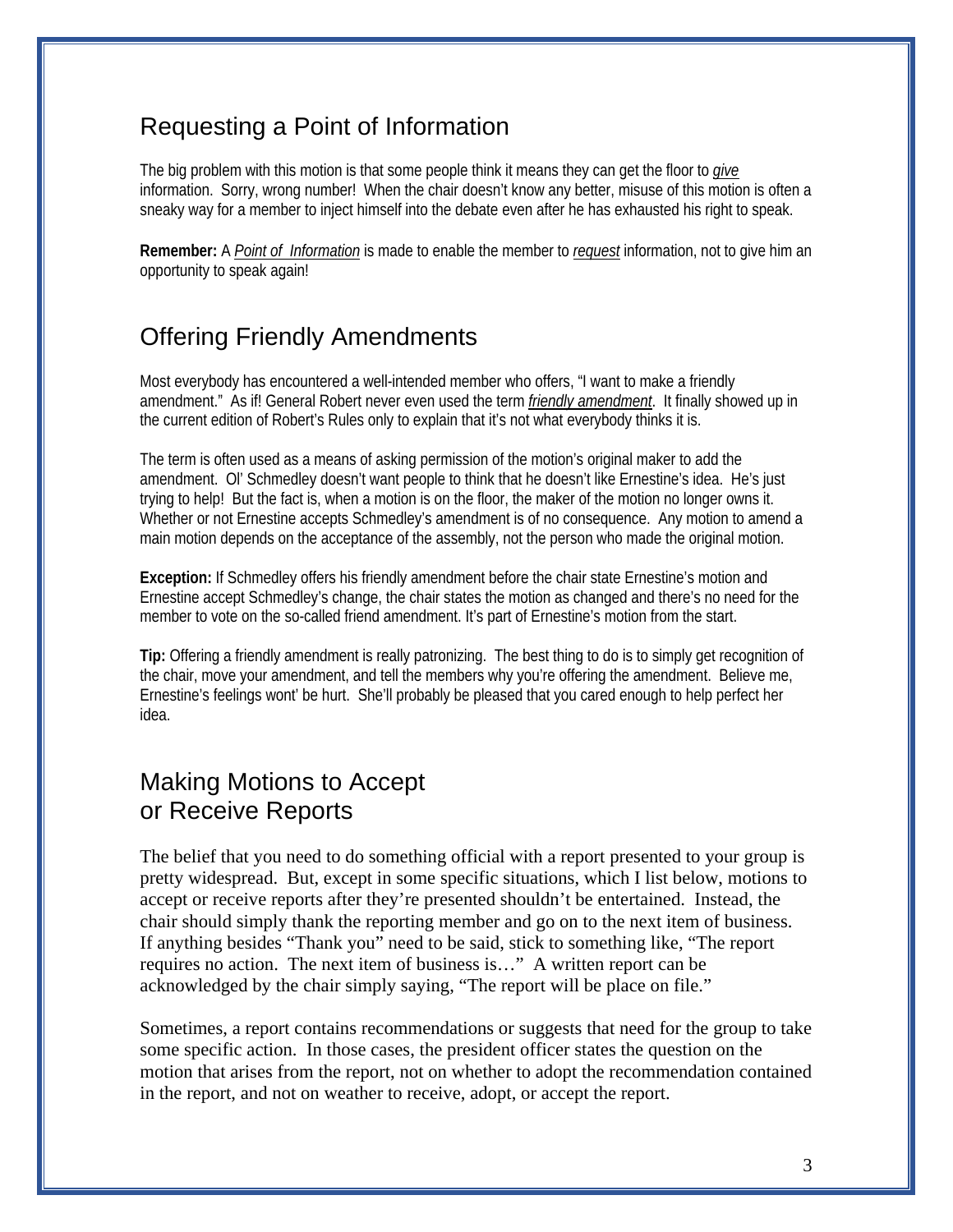## Requesting a Point of Information

The big problem with this motion is that some people think it means they can get the floor to *give*  information. Sorry, wrong number! When the chair doesn't know any better, misuse of this motion is often a sneaky way for a member to inject himself into the debate even after he has exhausted his right to speak.

**Remember:** A *Point of Information* is made to enable the member to *request* information, not to give him an opportunity to speak again!

### Offering Friendly Amendments

Most everybody has encountered a well-intended member who offers, "I want to make a friendly amendment." As if! General Robert never even used the term *friendly amendment*. It finally showed up in the current edition of Robert's Rules only to explain that it's not what everybody thinks it is.

The term is often used as a means of asking permission of the motion's original maker to add the amendment. Ol' Schmedley doesn't want people to think that he doesn't like Ernestine's idea. He's just trying to help! But the fact is, when a motion is on the floor, the maker of the motion no longer owns it. Whether or not Ernestine accepts Schmedley's amendment is of no consequence. Any motion to amend a main motion depends on the acceptance of the assembly, not the person who made the original motion.

**Exception:** If Schmedley offers his friendly amendment before the chair state Ernestine's motion and Ernestine accept Schmedley's change, the chair states the motion as changed and there's no need for the member to vote on the so-called friend amendment. It's part of Ernestine's motion from the start.

**Tip:** Offering a friendly amendment is really patronizing. The best thing to do is to simply get recognition of the chair, move your amendment, and tell the members why you're offering the amendment. Believe me, Ernestine's feelings wont' be hurt. She'll probably be pleased that you cared enough to help perfect her idea.

## Making Motions to Accept or Receive Reports

The belief that you need to do something official with a report presented to your group is pretty widespread. But, except in some specific situations, which I list below, motions to accept or receive reports after they're presented shouldn't be entertained. Instead, the chair should simply thank the reporting member and go on to the next item of business. If anything besides "Thank you" need to be said, stick to something like, "The report requires no action. The next item of business is…" A written report can be acknowledged by the chair simply saying, "The report will be place on file."

Sometimes, a report contains recommendations or suggests that need for the group to take some specific action. In those cases, the president officer states the question on the motion that arises from the report, not on whether to adopt the recommendation contained in the report, and not on weather to receive, adopt, or accept the report.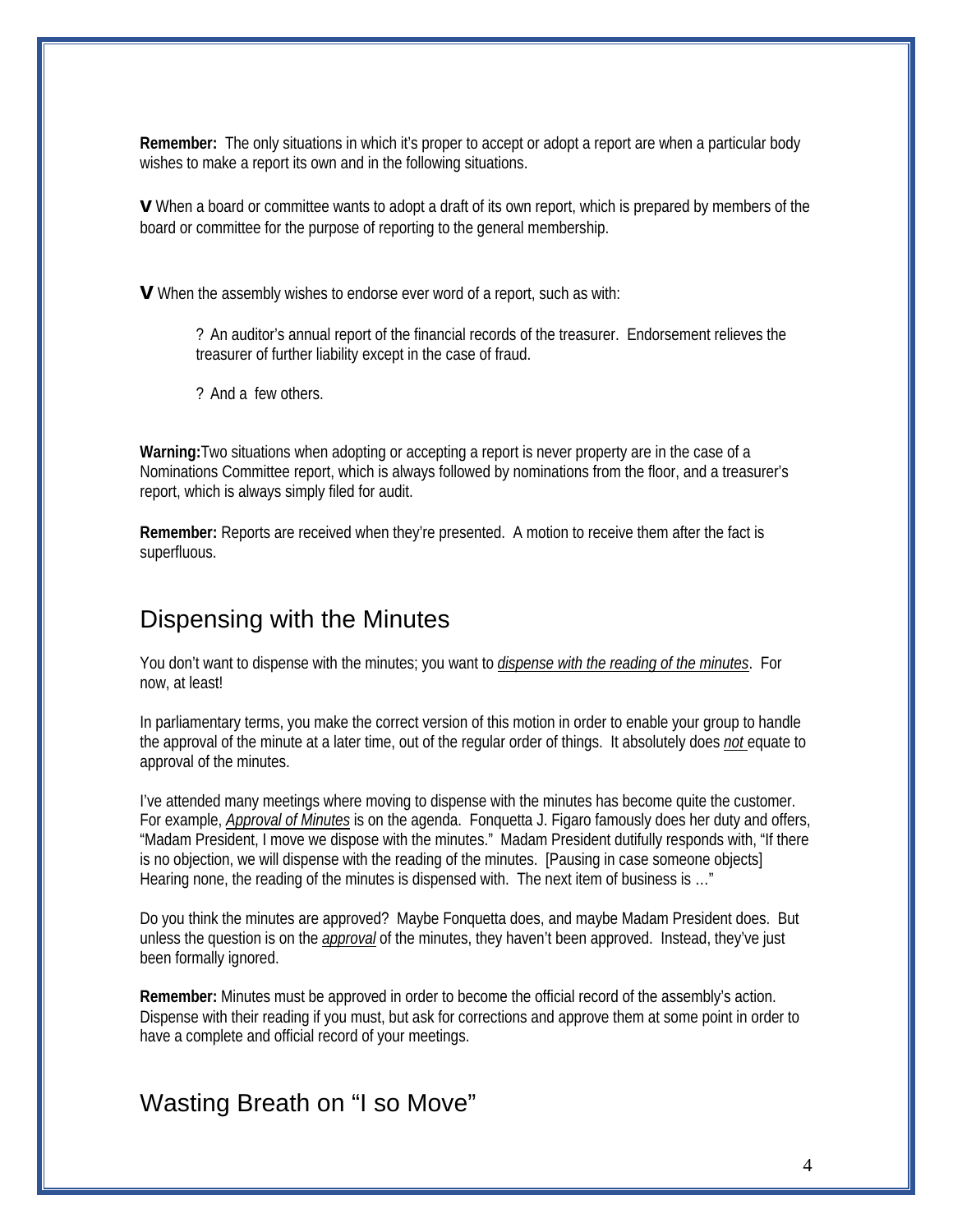**Remember:** The only situations in which it's proper to accept or adopt a report are when a particular body wishes to make a report its own and in the following situations.

**v** When a board or committee wants to adopt a draft of its own report, which is prepared by members of the board or committee for the purpose of reporting to the general membership.

**v** When the assembly wishes to endorse ever word of a report, such as with:

? An auditor's annual report of the financial records of the treasurer. Endorsement relieves the treasurer of further liability except in the case of fraud.

? And a few others.

**Warning:**Two situations when adopting or accepting a report is never property are in the case of a Nominations Committee report, which is always followed by nominations from the floor, and a treasurer's report, which is always simply filed for audit.

**Remember:** Reports are received when they're presented. A motion to receive them after the fact is superfluous.

#### Dispensing with the Minutes

You don't want to dispense with the minutes; you want to *dispense with the reading of the minutes*. For now, at least!

In parliamentary terms, you make the correct version of this motion in order to enable your group to handle the approval of the minute at a later time, out of the regular order of things. It absolutely does *not* equate to approval of the minutes.

I've attended many meetings where moving to dispense with the minutes has become quite the customer. For example, *Approval of Minutes* is on the agenda. Fonquetta J. Figaro famously does her duty and offers, "Madam President, I move we dispose with the minutes." Madam President dutifully responds with, "If there is no objection, we will dispense with the reading of the minutes. [Pausing in case someone objects] Hearing none, the reading of the minutes is dispensed with. The next item of business is …"

Do you think the minutes are approved? Maybe Fonquetta does, and maybe Madam President does. But unless the question is on the *approval* of the minutes, they haven't been approved. Instead, they've just been formally ignored.

**Remember:** Minutes must be approved in order to become the official record of the assembly's action. Dispense with their reading if you must, but ask for corrections and approve them at some point in order to have a complete and official record of your meetings.

#### Wasting Breath on "I so Move"